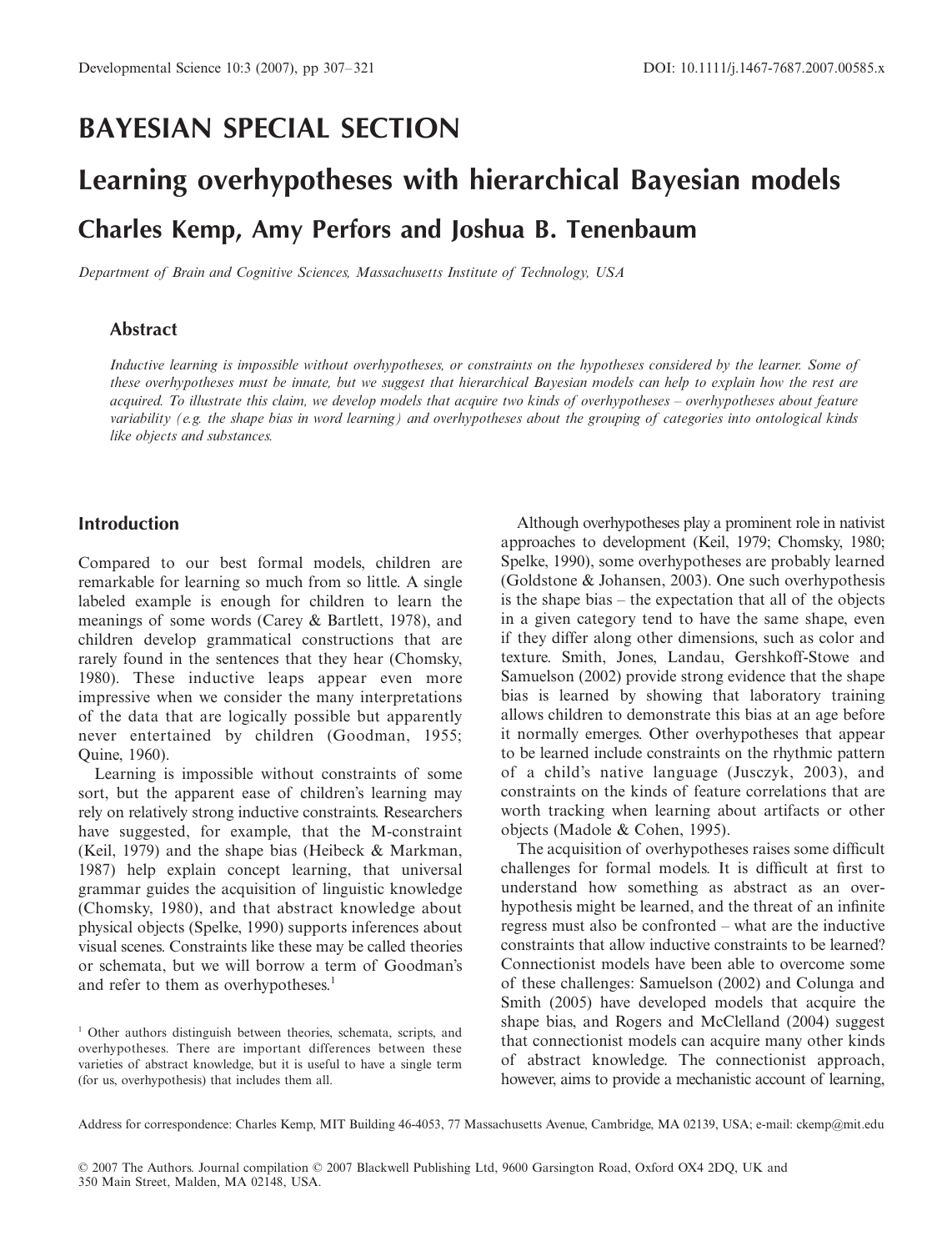# BAYESIAN SPECIAL SECTION

# **Learning overhypotheses with hierarchical Bayesian models Charles Kemp, Amy Perfors and Joshua B. Tenenbaum**

*Department of Brain and Cognitive Sciences, Massachusetts Institute of Technology, USA* 

#### **Abstract**

*Inductive learning is impossible without overhypotheses, or constraints on the hypotheses considered by the learner. Some of these overhypotheses must be innate, but we suggest that hierarchical Bayesian models can help to explain how the rest are acquired. To illustrate this claim, we develop models that acquire two kinds of overhypotheses – overhypotheses about feature variability (e.g. the shape bias in word learning) and overhypotheses about the grouping of categories into ontological kinds like objects and substances.*

### **Introduction**

Compared to our best formal models, children are remarkable for learning so much from so little. A single labeled example is enough for children to learn the meanings of some words (Carey & Bartlett, 1978), and children develop grammatical constructions that are rarely found in the sentences that they hear (Chomsky, 1980). These inductive leaps appear even more impressive when we consider the many interpretations of the data that are logically possible but apparently never entertained by children (Goodman, 1955; Quine, 1960).

Learning is impossible without constraints of some sort, but the apparent ease of children's learning may rely on relatively strong inductive constraints. Researchers have suggested, for example, that the M-constraint (Keil, 1979) and the shape bias (Heibeck  $&$  Markman, 1987) help explain concept learning, that universal grammar guides the acquisition of linguistic knowledge (Chomsky, 1980), and that abstract knowledge about physical objects (Spelke, 1990) supports inferences about visual scenes. Constraints like these may be called theories or schemata, but we will borrow a term of Goodman's and refer to them as overhypotheses.<sup>1</sup>

<sup>1</sup> Other authors distinguish between theories, schemata, scripts, and overhypotheses. There are important differences between these varieties of abstract knowledge, but it is useful to have a single term (for us, overhypothesis) that includes them all.

Although overhypotheses play a prominent role in nativist approaches to development (Keil, 1979; Chomsky, 1980; Spelke, 1990), some overhypotheses are probably learned (Goldstone & Johansen, 2003). One such overhypothesis is the shape bias – the expectation that all of the objects in a given category tend to have the same shape, even if they differ along other dimensions, such as color and texture. Smith, Jones, Landau, Gershkoff-Stowe and Samuelson (2002) provide strong evidence that the shape bias is learned by showing that laboratory training allows children to demonstrate this bias at an age before it normally emerges. Other overhypotheses that appear to be learned include constraints on the rhythmic pattern of a child's native language (Jusczyk, 2003), and constraints on the kinds of feature correlations that are worth tracking when learning about artifacts or other objects (Madole & Cohen, 1995).

The acquisition of overhypotheses raises some difficult challenges for formal models. It is difficult at first to understand how something as abstract as an overhypothesis might be learned, and the threat of an infinite regress must also be confronted – what are the inductive constraints that allow inductive constraints to be learned? Connectionist models have been able to overcome some of these challenges: Samuelson (2002) and Colunga and Smith (2005) have developed models that acquire the shape bias, and Rogers and McClelland (2004) suggest that connectionist models can acquire many other kinds of abstract knowledge. The connectionist approach, however, aims to provide a mechanistic account of learning,

Address for correspondence: Charles Kemp, MIT Building 46-4053, 77 Massachusetts Avenue, Cambridge, MA 02139, USA; e-mail: ckemp@mit.edu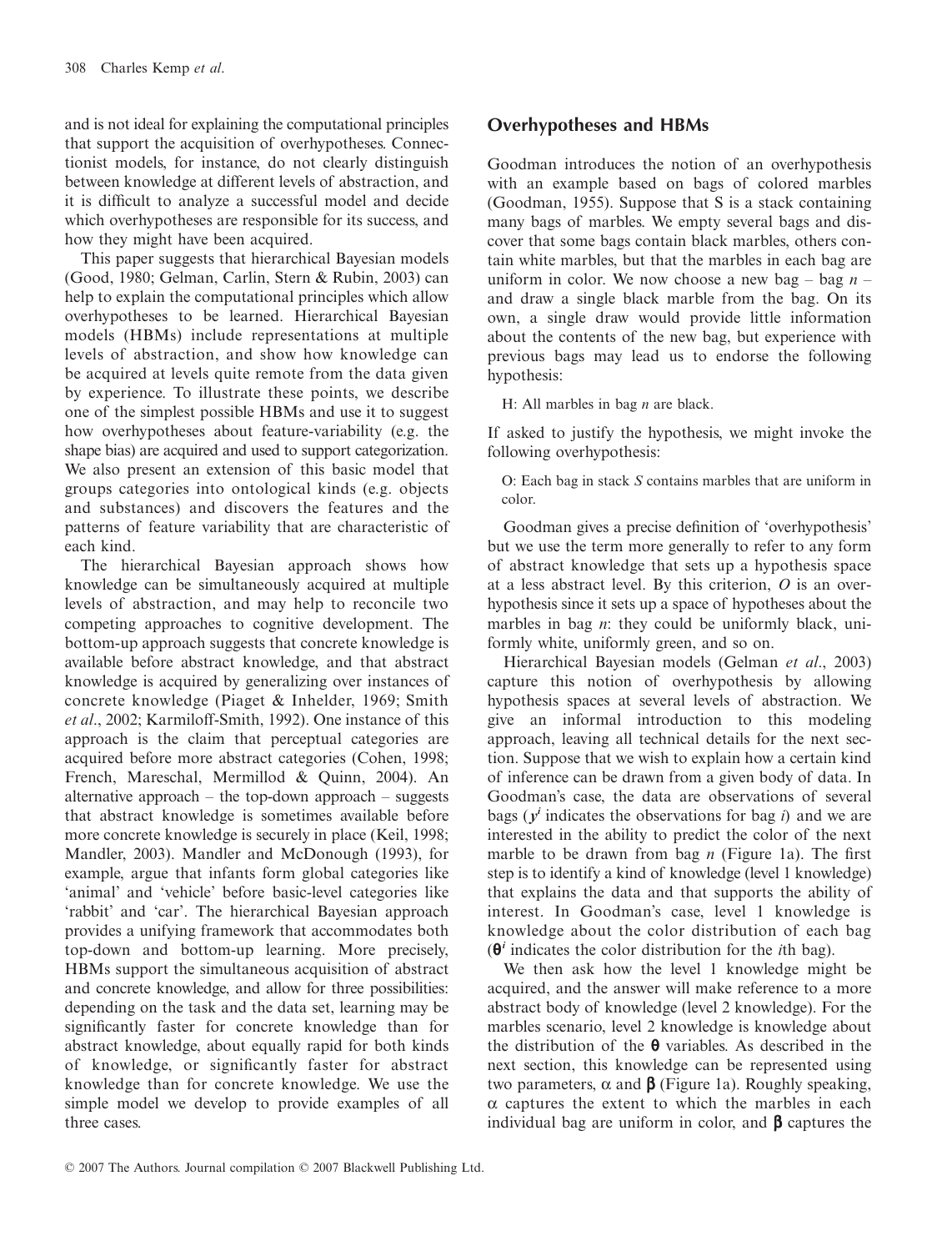and is not ideal for explaining the computational principles that support the acquisition of overhypotheses. Connectionist models, for instance, do not clearly distinguish between knowledge at different levels of abstraction, and it is difficult to analyze a successful model and decide which overhypotheses are responsible for its success, and how they might have been acquired.

This paper suggests that hierarchical Bayesian models (Good, 1980; Gelman, Carlin, Stern & Rubin, 2003) can help to explain the computational principles which allow overhypotheses to be learned. Hierarchical Bayesian models (HBMs) include representations at multiple levels of abstraction, and show how knowledge can be acquired at levels quite remote from the data given by experience. To illustrate these points, we describe one of the simplest possible HBMs and use it to suggest how overhypotheses about feature-variability (e.g. the shape bias) are acquired and used to support categorization. We also present an extension of this basic model that groups categories into ontological kinds (e.g. objects and substances) and discovers the features and the patterns of feature variability that are characteristic of each kind.

The hierarchical Bayesian approach shows how knowledge can be simultaneously acquired at multiple levels of abstraction, and may help to reconcile two competing approaches to cognitive development. The bottom-up approach suggests that concrete knowledge is available before abstract knowledge, and that abstract knowledge is acquired by generalizing over instances of concrete knowledge (Piaget & Inhelder, 1969; Smith *et al*., 2002; Karmiloff-Smith, 1992). One instance of this approach is the claim that perceptual categories are acquired before more abstract categories (Cohen, 1998; French, Mareschal, Mermillod & Quinn, 2004). An alternative approach – the top-down approach – suggests that abstract knowledge is sometimes available before more concrete knowledge is securely in place (Keil, 1998; Mandler, 2003). Mandler and McDonough (1993), for example, argue that infants form global categories like 'animal' and 'vehicle' before basic-level categories like 'rabbit' and 'car'. The hierarchical Bayesian approach provides a unifying framework that accommodates both top-down and bottom-up learning. More precisely, HBMs support the simultaneous acquisition of abstract and concrete knowledge, and allow for three possibilities: depending on the task and the data set, learning may be significantly faster for concrete knowledge than for abstract knowledge, about equally rapid for both kinds of knowledge, or significantly faster for abstract knowledge than for concrete knowledge. We use the simple model we develop to provide examples of all three cases.

# **Overhypotheses and HBMs**

Goodman introduces the notion of an overhypothesis with an example based on bags of colored marbles (Goodman, 1955). Suppose that S is a stack containing many bags of marbles. We empty several bags and discover that some bags contain black marbles, others contain white marbles, but that the marbles in each bag are uniform in color. We now choose a new bag – bag  $n$ and draw a single black marble from the bag. On its own, a single draw would provide little information about the contents of the new bag, but experience with previous bags may lead us to endorse the following hypothesis:

H: All marbles in bag *n* are black.

If asked to justify the hypothesis, we might invoke the following overhypothesis:

O: Each bag in stack *S* contains marbles that are uniform in color.

Goodman gives a precise definition of 'overhypothesis' but we use the term more generally to refer to any form of abstract knowledge that sets up a hypothesis space at a less abstract level. By this criterion, *O* is an overhypothesis since it sets up a space of hypotheses about the marbles in bag *n*: they could be uniformly black, uniformly white, uniformly green, and so on.

Hierarchical Bayesian models (Gelman *et al*., 2003) capture this notion of overhypothesis by allowing hypothesis spaces at several levels of abstraction. We give an informal introduction to this modeling approach, leaving all technical details for the next section. Suppose that we wish to explain how a certain kind of inference can be drawn from a given body of data. In Goodman's case, the data are observations of several bags (*yi* indicates the observations for bag *i*) and we are interested in the ability to predict the color of the next marble to be drawn from bag *n* (Figure 1a). The first step is to identify a kind of knowledge (level 1 knowledge) that explains the data and that supports the ability of interest. In Goodman's case, level 1 knowledge is knowledge about the color distribution of each bag (θ*<sup>i</sup>* indicates the color distribution for the *i*th bag).

We then ask how the level 1 knowledge might be acquired, and the answer will make reference to a more abstract body of knowledge (level 2 knowledge). For the marbles scenario, level 2 knowledge is knowledge about the distribution of the  $\theta$  variables. As described in the next section, this knowledge can be represented using two parameters,  $\alpha$  and  $\beta$  (Figure 1a). Roughly speaking,  $\alpha$  captures the extent to which the marbles in each individual bag are uniform in color, and  $\beta$  captures the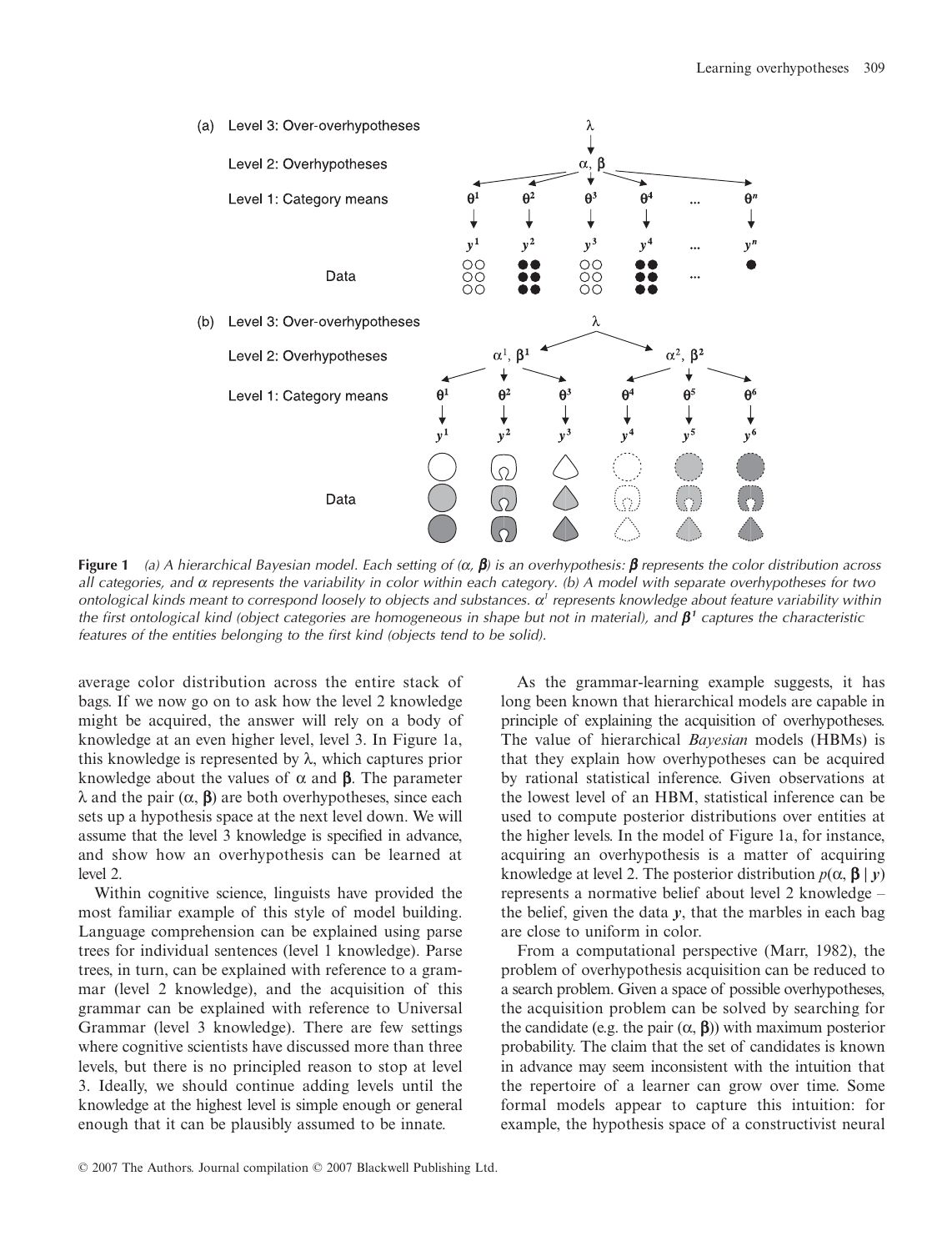

**Figure 1** *(a) A hierarchical Bayesian model. Each setting of (*α*,* β*) is an overhypothesis:* β *represents the color distribution across all categories, and* <sup>α</sup> *represents the variability in color within each category. (b) A model with separate overhypotheses for two ontological kinds meant to correspond loosely to objects and substances.* α*<sup>1</sup> represents knowledge about feature variability within the first ontological kind (object categories are homogeneous in shape but not in material), and* β*<sup>1</sup> captures the characteristic features of the entities belonging to the first kind (objects tend to be solid).*

average color distribution across the entire stack of bags. If we now go on to ask how the level 2 knowledge might be acquired, the answer will rely on a body of knowledge at an even higher level, level 3. In Figure 1a, this knowledge is represented by λ, which captures prior knowledge about the values of  $\alpha$  and  $\beta$ . The parameter  $λ$  and the pair  $(α, β)$  are both overhypotheses, since each sets up a hypothesis space at the next level down. We will assume that the level 3 knowledge is specified in advance, and show how an overhypothesis can be learned at level 2.

Within cognitive science, linguists have provided the most familiar example of this style of model building. Language comprehension can be explained using parse trees for individual sentences (level 1 knowledge). Parse trees, in turn, can be explained with reference to a grammar (level 2 knowledge), and the acquisition of this grammar can be explained with reference to Universal Grammar (level 3 knowledge). There are few settings where cognitive scientists have discussed more than three levels, but there is no principled reason to stop at level 3. Ideally, we should continue adding levels until the knowledge at the highest level is simple enough or general enough that it can be plausibly assumed to be innate.

As the grammar-learning example suggests, it has long been known that hierarchical models are capable in principle of explaining the acquisition of overhypotheses. The value of hierarchical *Bayesian* models (HBMs) is that they explain how overhypotheses can be acquired by rational statistical inference. Given observations at the lowest level of an HBM, statistical inference can be used to compute posterior distributions over entities at the higher levels. In the model of Figure 1a, for instance, acquiring an overhypothesis is a matter of acquiring knowledge at level 2. The posterior distribution  $p(\alpha, \beta | \nu)$ represents a normative belief about level 2 knowledge – the belief, given the data *y*, that the marbles in each bag are close to uniform in color.

From a computational perspective (Marr, 1982), the problem of overhypothesis acquisition can be reduced to a search problem. Given a space of possible overhypotheses, the acquisition problem can be solved by searching for the candidate (e.g. the pair  $(\alpha, \beta)$ ) with maximum posterior probability. The claim that the set of candidates is known in advance may seem inconsistent with the intuition that the repertoire of a learner can grow over time. Some formal models appear to capture this intuition: for example, the hypothesis space of a constructivist neural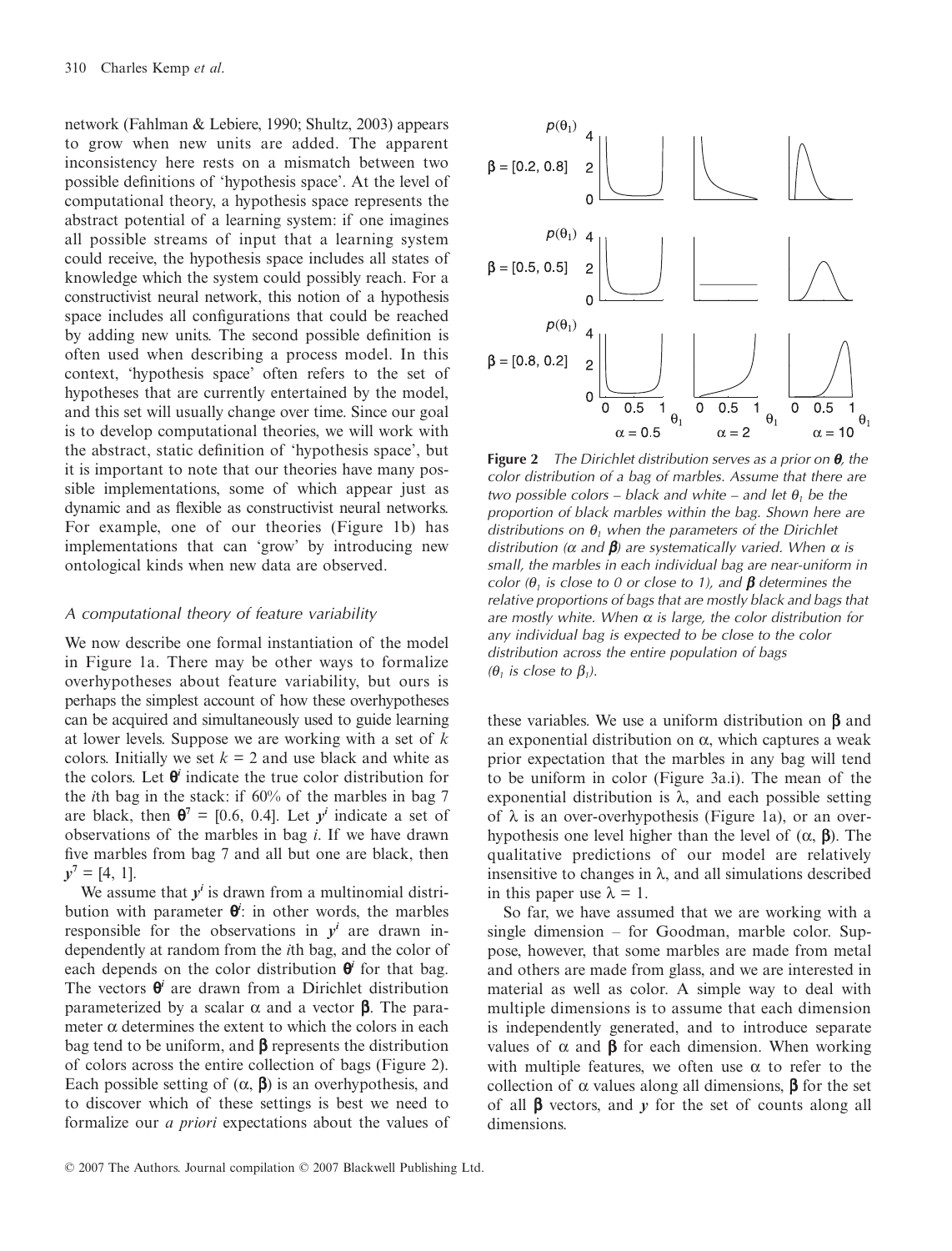network (Fahlman & Lebiere, 1990; Shultz, 2003) appears to grow when new units are added. The apparent inconsistency here rests on a mismatch between two possible definitions of 'hypothesis space'. At the level of computational theory, a hypothesis space represents the abstract potential of a learning system: if one imagines all possible streams of input that a learning system could receive, the hypothesis space includes all states of knowledge which the system could possibly reach. For a constructivist neural network, this notion of a hypothesis space includes all configurations that could be reached by adding new units. The second possible definition is often used when describing a process model. In this context, 'hypothesis space' often refers to the set of hypotheses that are currently entertained by the model, and this set will usually change over time. Since our goal is to develop computational theories, we will work with the abstract, static definition of 'hypothesis space', but it is important to note that our theories have many possible implementations, some of which appear just as dynamic and as flexible as constructivist neural networks. For example, one of our theories (Figure 1b) has implementations that can 'grow' by introducing new ontological kinds when new data are observed.

#### *A computational theory of feature variability*

We now describe one formal instantiation of the model in Figure 1a. There may be other ways to formalize overhypotheses about feature variability, but ours is perhaps the simplest account of how these overhypotheses can be acquired and simultaneously used to guide learning at lower levels. Suppose we are working with a set of *k* colors. Initially we set  $k = 2$  and use black and white as the colors. Let θ*<sup>i</sup>* indicate the true color distribution for the *i*th bag in the stack: if 60% of the marbles in bag 7 are black, then  $\mathbf{\theta}^7 = [0.6, 0.4]$ . Let  $y^i$  indicate a set of observations of the marbles in bag *i*. If we have drawn five marbles from bag 7 and all but one are black, then  $v^7 = [4, 1].$ 

We assume that  $v^i$  is drawn from a multinomial distribution with parameter θ*<sup>i</sup>* : in other words, the marbles responsible for the observations in  $y^i$  are drawn independently at random from the *i*th bag, and the color of each depends on the color distribution θ*<sup>i</sup>* for that bag. The vectors θ*<sup>i</sup>* are drawn from a Dirichlet distribution parameterized by a scalar  $\alpha$  and a vector **β**. The parameter  $\alpha$  determines the extent to which the colors in each bag tend to be uniform, and β represents the distribution of colors across the entire collection of bags (Figure 2). Each possible setting of  $(\alpha, \beta)$  is an overhypothesis, and to discover which of these settings is best we need to formalize our *a priori* expectations about the values of



**Figure 2** *The Dirichlet distribution serves as a prior on* θ*, the color distribution of a bag of marbles. Assume that there are two possible colors – black and white – and let*  $\theta_1$  *be the proportion of black marbles within the bag. Shown here are distributions on* θ*<sup>1</sup> when the parameters of the Dirichlet distribution (*<sup>α</sup> *and* β*) are systematically varied. When* <sup>α</sup> *is*  small, the marbles in each individual bag are near-uniform in *color* ( $\theta_1$  *is close to 0 or close to 1), and*  $\beta$  *determines the relative proportions of bags that are mostly black and bags that are mostly white. When* <sup>α</sup> *is large, the color distribution for any individual bag is expected to be close to the color distribution across the entire population of bags (*θ*<sup>1</sup> is close to* β*1).*

these variables. We use a uniform distribution on  $\beta$  and an exponential distribution on α, which captures a weak prior expectation that the marbles in any bag will tend to be uniform in color (Figure 3a.i). The mean of the exponential distribution is  $\lambda$ , and each possible setting of  $\lambda$  is an over-overhypothesis (Figure 1a), or an overhypothesis one level higher than the level of (α, β). The qualitative predictions of our model are relatively insensitive to changes in  $\lambda$ , and all simulations described in this paper use  $\lambda = 1$ .

So far, we have assumed that we are working with a single dimension – for Goodman, marble color. Suppose, however, that some marbles are made from metal and others are made from glass, and we are interested in material as well as color. A simple way to deal with multiple dimensions is to assume that each dimension is independently generated, and to introduce separate values of  $\alpha$  and  $\beta$  for each dimension. When working with multiple features, we often use  $\alpha$  to refer to the collection of  $\alpha$  values along all dimensions,  $\beta$  for the set of all β vectors, and *y* for the set of counts along all dimensions.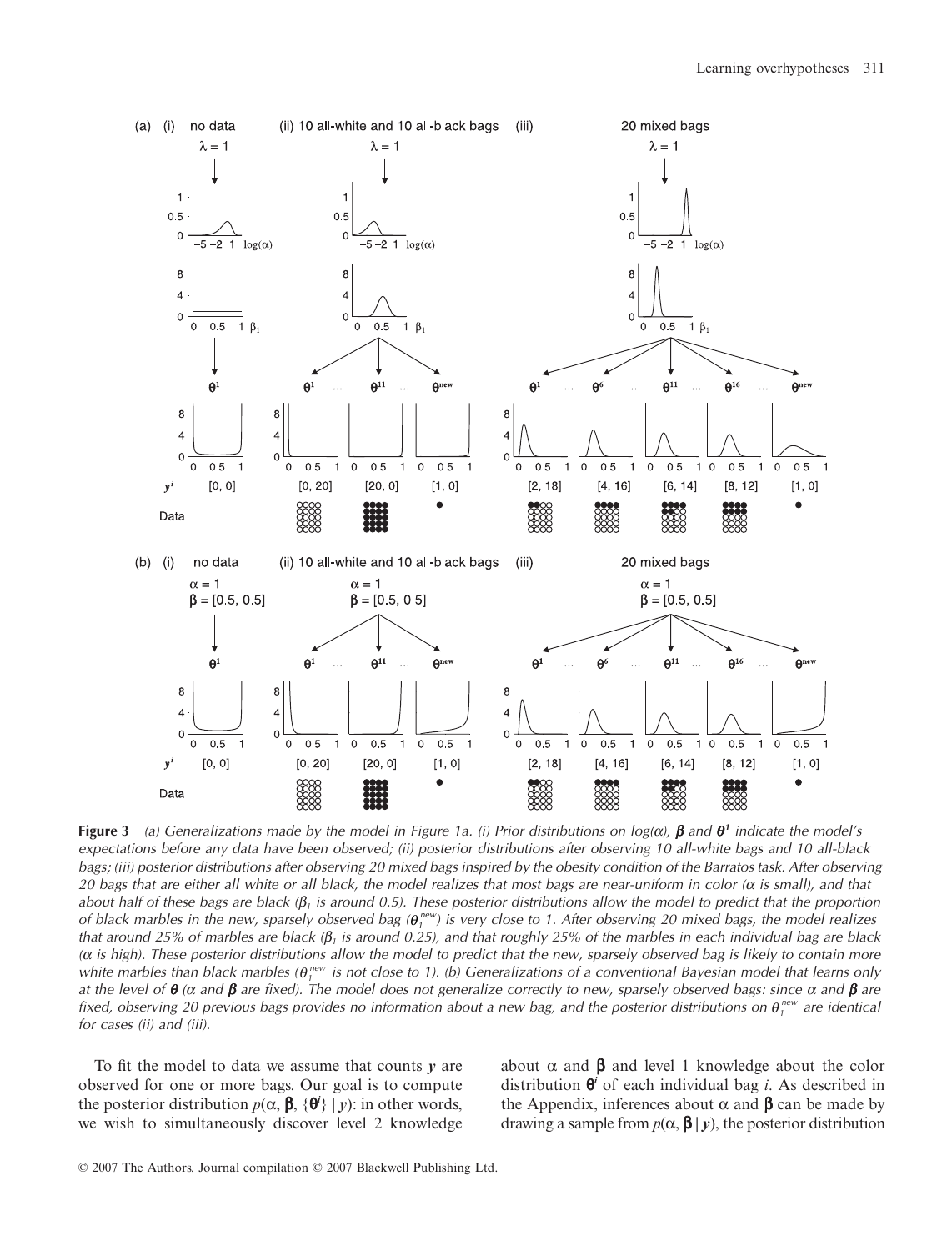

**Figure 3** *(a) Generalizations made by the model in Figure 1a. (i) Prior distributions on log(*α*),* β *and* θ*<sup>1</sup> indicate the model's expectations before any data have been observed; (ii) posterior distributions after observing 10 all-white bags and 10 all-black bags; (iii) posterior distributions after observing 20 mixed bags inspired by the obesity condition of the Barratos task. After observing 20 bags that are either all white or all black, the model realizes that most bags are near-uniform in color (*<sup>α</sup> *is small), and that about half of these bags are black (*β*<sup>1</sup> is around 0.5). These posterior distributions allow the model to predict that the proportion of black marbles in the new, sparsely observed bag (* $\theta_1^{new}$ *) is very close to 1. After observing 20 mixed bags, the model realizes that around 25% of marbles are black (*β*<sup>1</sup> is around 0.25), and that roughly 25% of the marbles in each individual bag are black (*<sup>α</sup> *is high). These posterior distributions allow the model to predict that the new, sparsely observed bag is likely to contain more white marbles than black marbles (* $\theta_1^{new}$  *is not close to 1). (b) Generalizations of a conventional Bayesian model that learns only at the level of* θ *(*<sup>α</sup> *and* β *are fixed). The model does not generalize correctly to new, sparsely observed bags: since* <sup>α</sup> *and* β *are fixed, observing 20 previous bags provides no information about a new bag, and the posterior distributions on*  $\theta_1^{new}$  *are identical for cases (ii) and (iii).*

To fit the model to data we assume that counts *y* are observed for one or more bags. Our goal is to compute the posterior distribution  $p(\alpha, \beta, {\theta}^i \mid y)$ : in other words, we wish to simultaneously discover level 2 knowledge about  $\alpha$  and  $\beta$  and level 1 knowledge about the color distribution θ*<sup>i</sup>* of each individual bag *i*. As described in the Appendix, inferences about  $\alpha$  and  $\beta$  can be made by drawing a sample from  $p(\alpha, \beta | y)$ , the posterior distribution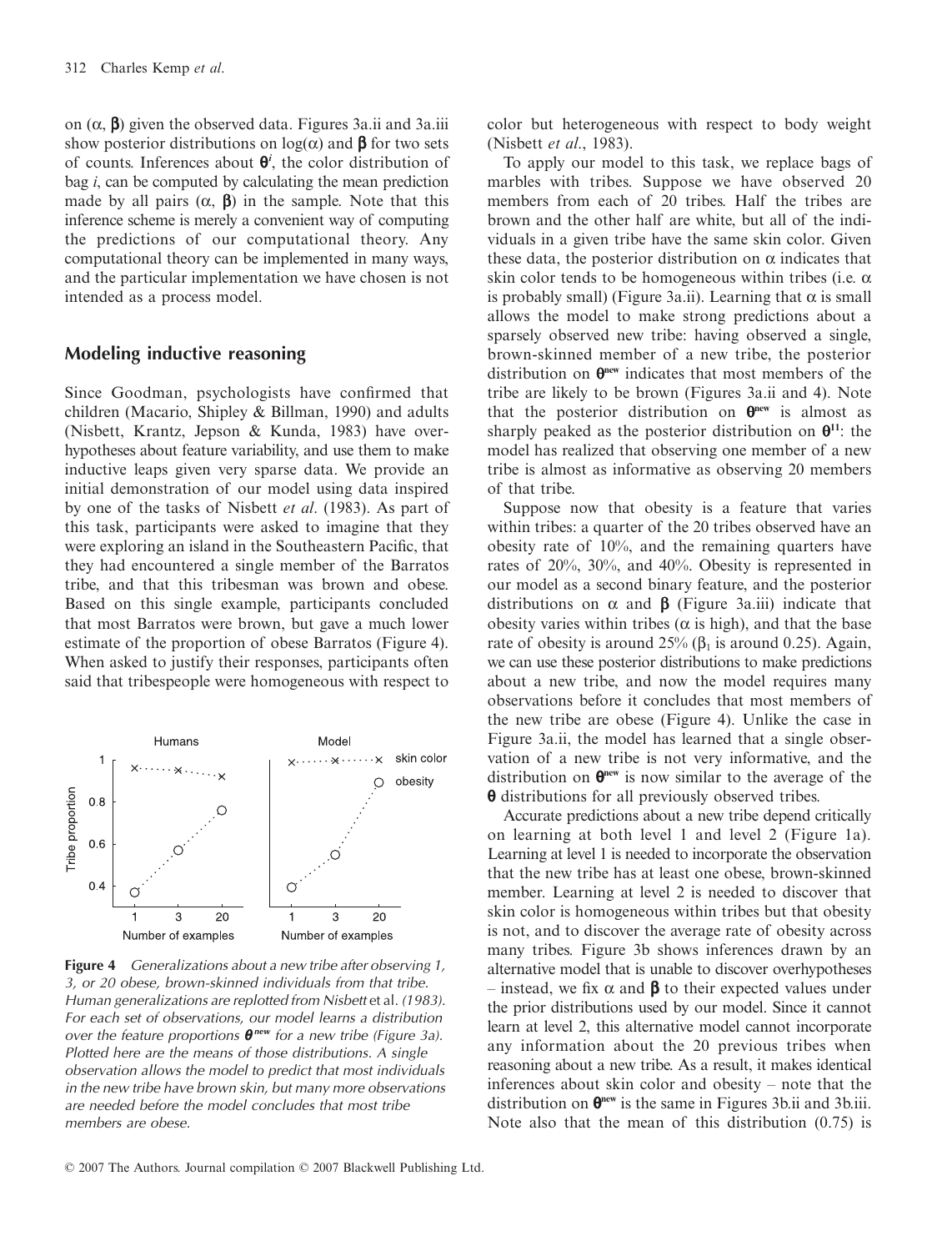on  $(α, β)$  given the observed data. Figures 3a.ii and 3a.iii show posterior distributions on  $log(\alpha)$  and  $\beta$  for two sets of counts. Inferences about θ*<sup>i</sup>* , the color distribution of bag *i*, can be computed by calculating the mean prediction made by all pairs  $(\alpha, \beta)$  in the sample. Note that this inference scheme is merely a convenient way of computing the predictions of our computational theory. Any computational theory can be implemented in many ways, and the particular implementation we have chosen is not intended as a process model.

#### **Modeling inductive reasoning**

Since Goodman, psychologists have confirmed that children (Macario, Shipley & Billman, 1990) and adults (Nisbett, Krantz, Jepson & Kunda, 1983) have overhypotheses about feature variability, and use them to make inductive leaps given very sparse data. We provide an initial demonstration of our model using data inspired by one of the tasks of Nisbett *et al*. (1983). As part of this task, participants were asked to imagine that they were exploring an island in the Southeastern Pacific, that they had encountered a single member of the Barratos tribe, and that this tribesman was brown and obese. Based on this single example, participants concluded that most Barratos were brown, but gave a much lower estimate of the proportion of obese Barratos (Figure 4). When asked to justify their responses, participants often said that tribespeople were homogeneous with respect to



**Figure 4** *Generalizations about a new tribe after observing 1, 3, or 20 obese, brown-skinned individuals from that tribe. Human generalizations are replotted from Nisbett et al. (1983). For each set of observations, our model learns a distribution over the feature proportions* θ<sup>new</sup> *for a new tribe (Figure 3a). Plotted here are the means of those distributions. A single observation allows the model to predict that most individuals in the new tribe have brown skin, but many more observations are needed before the model concludes that most tribe members are obese.*

color but heterogeneous with respect to body weight (Nisbett *et al*., 1983).

To apply our model to this task, we replace bags of marbles with tribes. Suppose we have observed 20 members from each of 20 tribes. Half the tribes are brown and the other half are white, but all of the individuals in a given tribe have the same skin color. Given these data, the posterior distribution on  $\alpha$  indicates that skin color tends to be homogeneous within tribes (i.e.  $\alpha$ is probably small) (Figure 3a.ii). Learning that  $\alpha$  is small allows the model to make strong predictions about a sparsely observed new tribe: having observed a single, brown-skinned member of a new tribe, the posterior distribution on θ**new** indicates that most members of the tribe are likely to be brown (Figures 3a.ii and 4). Note that the posterior distribution on θ**new** is almost as sharply peaked as the posterior distribution on  $\theta^{11}$ : the model has realized that observing one member of a new tribe is almost as informative as observing 20 members of that tribe.

Suppose now that obesity is a feature that varies within tribes: a quarter of the 20 tribes observed have an obesity rate of 10%, and the remaining quarters have rates of 20%, 30%, and 40%. Obesity is represented in our model as a second binary feature, and the posterior distributions on  $\alpha$  and  $\beta$  (Figure 3a.iii) indicate that obesity varies within tribes ( $α$  is high), and that the base rate of obesity is around  $25\%$  ( $\beta_1$  is around 0.25). Again, we can use these posterior distributions to make predictions about a new tribe, and now the model requires many observations before it concludes that most members of the new tribe are obese (Figure 4). Unlike the case in Figure 3a.ii, the model has learned that a single observation of a new tribe is not very informative, and the distribution on θ**new** is now similar to the average of the θ distributions for all previously observed tribes.

Accurate predictions about a new tribe depend critically on learning at both level 1 and level 2 (Figure 1a). Learning at level 1 is needed to incorporate the observation that the new tribe has at least one obese, brown-skinned member. Learning at level 2 is needed to discover that skin color is homogeneous within tribes but that obesity is not, and to discover the average rate of obesity across many tribes. Figure 3b shows inferences drawn by an alternative model that is unable to discover overhypotheses – instead, we fix  $\alpha$  and  $\beta$  to their expected values under the prior distributions used by our model. Since it cannot learn at level 2, this alternative model cannot incorporate any information about the 20 previous tribes when reasoning about a new tribe. As a result, it makes identical inferences about skin color and obesity – note that the distribution on θ**new** is the same in Figures 3b.ii and 3b.iii. Note also that the mean of this distribution (0.75) is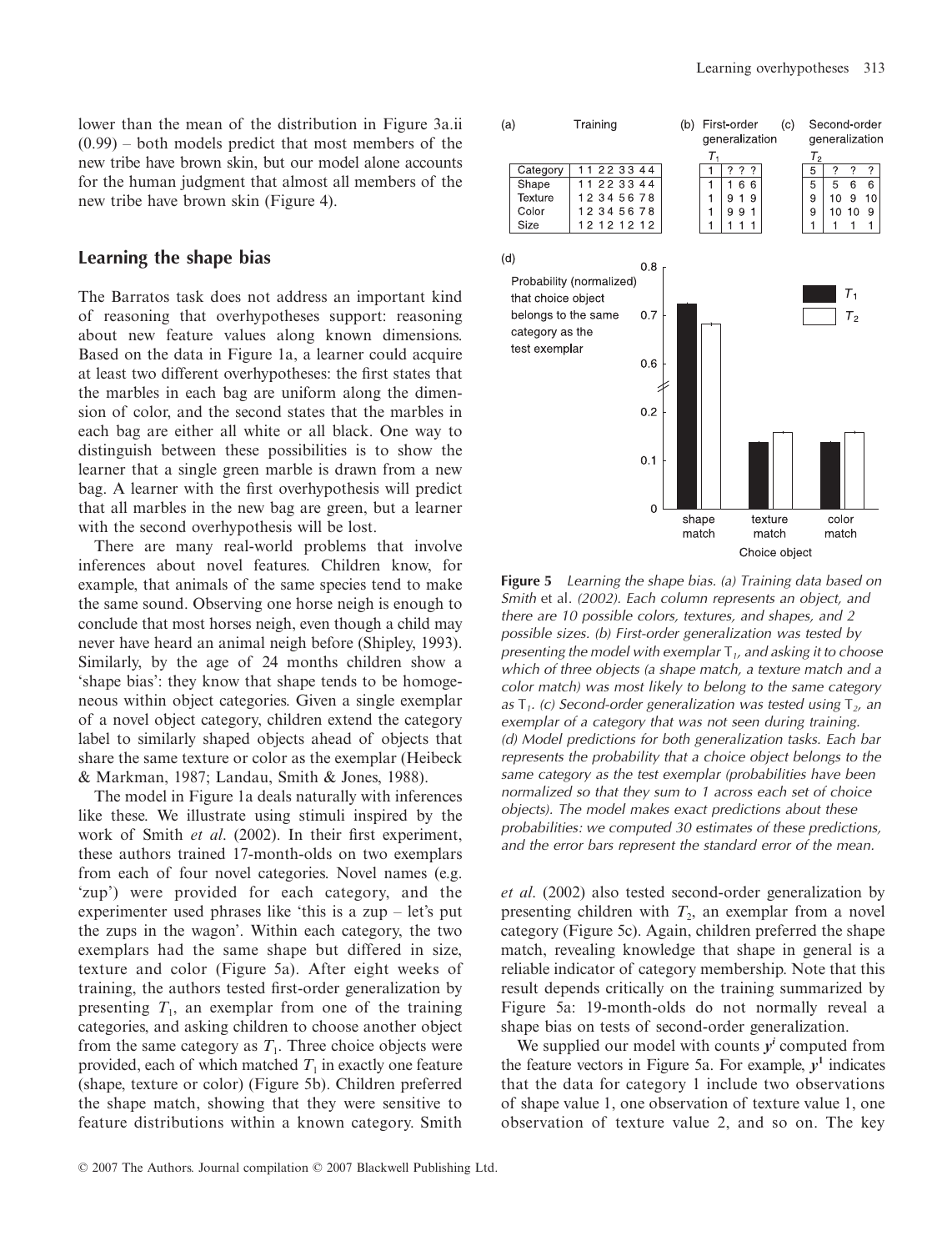lower than the mean of the distribution in Figure 3a.ii (0.99) – both models predict that most members of the new tribe have brown skin, but our model alone accounts for the human judgment that almost all members of the new tribe have brown skin (Figure 4).

#### **Learning the shape bias**

The Barratos task does not address an important kind of reasoning that overhypotheses support: reasoning about new feature values along known dimensions. Based on the data in Figure 1a, a learner could acquire at least two different overhypotheses: the first states that the marbles in each bag are uniform along the dimension of color, and the second states that the marbles in each bag are either all white or all black. One way to distinguish between these possibilities is to show the learner that a single green marble is drawn from a new bag. A learner with the first overhypothesis will predict that all marbles in the new bag are green, but a learner with the second overhypothesis will be lost.

There are many real-world problems that involve inferences about novel features. Children know, for example, that animals of the same species tend to make the same sound. Observing one horse neigh is enough to conclude that most horses neigh, even though a child may never have heard an animal neigh before (Shipley, 1993). Similarly, by the age of 24 months children show a 'shape bias': they know that shape tends to be homogeneous within object categories. Given a single exemplar of a novel object category, children extend the category label to similarly shaped objects ahead of objects that share the same texture or color as the exemplar (Heibeck & Markman, 1987; Landau, Smith & Jones, 1988).

The model in Figure 1a deals naturally with inferences like these. We illustrate using stimuli inspired by the work of Smith *et al*. (2002). In their first experiment, these authors trained 17-month-olds on two exemplars from each of four novel categories. Novel names (e.g. 'zup') were provided for each category, and the experimenter used phrases like 'this is a zup – let's put the zups in the wagon'. Within each category, the two exemplars had the same shape but differed in size, texture and color (Figure 5a). After eight weeks of training, the authors tested first-order generalization by presenting  $T_1$ , an exemplar from one of the training categories, and asking children to choose another object from the same category as  $T<sub>1</sub>$ . Three choice objects were provided, each of which matched  $T_1$  in exactly one feature (shape, texture or color) (Figure 5b). Children preferred the shape match, showing that they were sensitive to feature distributions within a known category. Smith



**Figure 5** *Learning the shape bias. (a) Training data based on Smith* et al. *(2002). Each column represents an object, and there are 10 possible colors, textures, and shapes, and 2 possible sizes. (b) First-order generalization was tested by presenting the model with exemplar* T*1, and asking it to choose which of three objects (a shape match, a texture match and a color match) was most likely to belong to the same category as* T*1. (c) Second-order generalization was tested using* T*2, an exemplar of a category that was not seen during training. (d) Model predictions for both generalization tasks. Each bar represents the probability that a choice object belongs to the same category as the test exemplar (probabilities have been normalized so that they sum to 1 across each set of choice objects). The model makes exact predictions about these probabilities: we computed 30 estimates of these predictions, and the error bars represent the standard error of the mean.*

*et al*. (2002) also tested second-order generalization by presenting children with  $T_2$ , an exemplar from a novel category (Figure 5c). Again, children preferred the shape match, revealing knowledge that shape in general is a reliable indicator of category membership. Note that this result depends critically on the training summarized by Figure 5a: 19-month-olds do not normally reveal a shape bias on tests of second-order generalization.

We supplied our model with counts  $y^i$  computed from the feature vectors in Figure 5a. For example,  $y<sup>1</sup>$  indicates that the data for category 1 include two observations of shape value 1, one observation of texture value 1, one observation of texture value 2, and so on. The key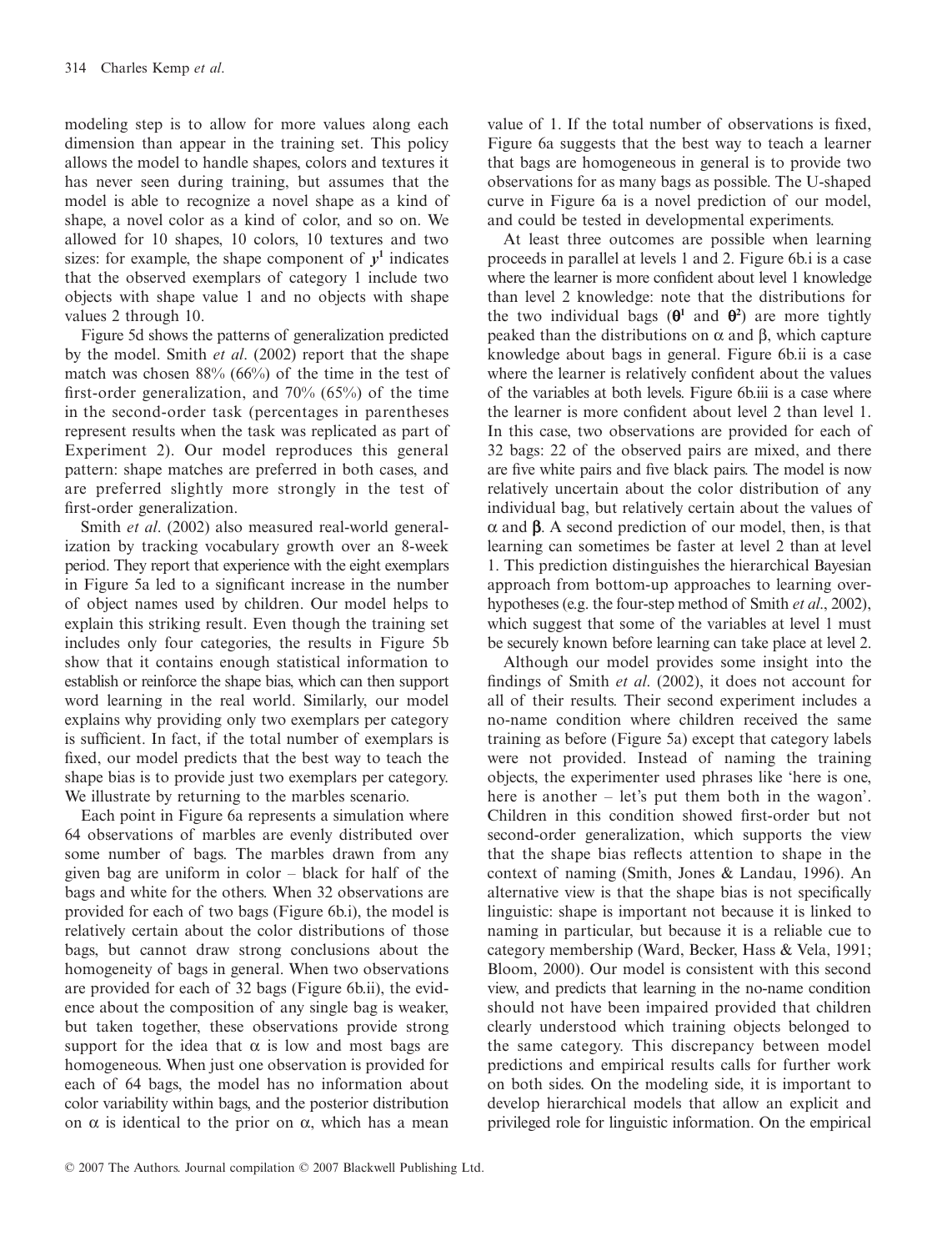modeling step is to allow for more values along each dimension than appear in the training set. This policy allows the model to handle shapes, colors and textures it has never seen during training, but assumes that the model is able to recognize a novel shape as a kind of shape, a novel color as a kind of color, and so on. We allowed for 10 shapes, 10 colors, 10 textures and two sizes: for example, the shape component of  $y<sup>1</sup>$  indicates that the observed exemplars of category 1 include two objects with shape value 1 and no objects with shape values 2 through 10.

Figure 5d shows the patterns of generalization predicted by the model. Smith *et al*. (2002) report that the shape match was chosen 88% (66%) of the time in the test of first-order generalization, and 70% (65%) of the time in the second-order task (percentages in parentheses represent results when the task was replicated as part of Experiment 2). Our model reproduces this general pattern: shape matches are preferred in both cases, and are preferred slightly more strongly in the test of first-order generalization.

Smith *et al*. (2002) also measured real-world generalization by tracking vocabulary growth over an 8-week period. They report that experience with the eight exemplars in Figure 5a led to a significant increase in the number of object names used by children. Our model helps to explain this striking result. Even though the training set includes only four categories, the results in Figure 5b show that it contains enough statistical information to establish or reinforce the shape bias, which can then support word learning in the real world. Similarly, our model explains why providing only two exemplars per category is sufficient. In fact, if the total number of exemplars is fixed, our model predicts that the best way to teach the shape bias is to provide just two exemplars per category. We illustrate by returning to the marbles scenario.

Each point in Figure 6a represents a simulation where 64 observations of marbles are evenly distributed over some number of bags. The marbles drawn from any given bag are uniform in color – black for half of the bags and white for the others. When 32 observations are provided for each of two bags (Figure 6b.i), the model is relatively certain about the color distributions of those bags, but cannot draw strong conclusions about the homogeneity of bags in general. When two observations are provided for each of 32 bags (Figure 6b.ii), the evidence about the composition of any single bag is weaker, but taken together, these observations provide strong support for the idea that  $\alpha$  is low and most bags are homogeneous. When just one observation is provided for each of 64 bags, the model has no information about color variability within bags, and the posterior distribution on  $\alpha$  is identical to the prior on  $\alpha$ , which has a mean value of 1. If the total number of observations is fixed, Figure 6a suggests that the best way to teach a learner that bags are homogeneous in general is to provide two observations for as many bags as possible. The U-shaped curve in Figure 6a is a novel prediction of our model, and could be tested in developmental experiments.

At least three outcomes are possible when learning proceeds in parallel at levels 1 and 2. Figure 6b.i is a case where the learner is more confident about level 1 knowledge than level 2 knowledge: note that the distributions for the two individual bags  $(\theta^1$  and  $\theta^2)$  are more tightly peaked than the distributions on α and β, which capture knowledge about bags in general. Figure 6b.ii is a case where the learner is relatively confident about the values of the variables at both levels. Figure 6b.iii is a case where the learner is more confident about level 2 than level 1. In this case, two observations are provided for each of 32 bags: 22 of the observed pairs are mixed, and there are five white pairs and five black pairs. The model is now relatively uncertain about the color distribution of any individual bag, but relatively certain about the values of  $\alpha$  and **β**. A second prediction of our model, then, is that learning can sometimes be faster at level 2 than at level 1. This prediction distinguishes the hierarchical Bayesian approach from bottom-up approaches to learning overhypotheses (e.g. the four-step method of Smith *et al*., 2002), which suggest that some of the variables at level 1 must be securely known before learning can take place at level 2.

Although our model provides some insight into the findings of Smith *et al*. (2002), it does not account for all of their results. Their second experiment includes a no-name condition where children received the same training as before (Figure 5a) except that category labels were not provided. Instead of naming the training objects, the experimenter used phrases like 'here is one, here is another – let's put them both in the wagon'. Children in this condition showed first-order but not second-order generalization, which supports the view that the shape bias reflects attention to shape in the context of naming (Smith, Jones & Landau, 1996). An alternative view is that the shape bias is not specifically linguistic: shape is important not because it is linked to naming in particular, but because it is a reliable cue to category membership (Ward, Becker, Hass & Vela, 1991; Bloom, 2000). Our model is consistent with this second view, and predicts that learning in the no-name condition should not have been impaired provided that children clearly understood which training objects belonged to the same category. This discrepancy between model predictions and empirical results calls for further work on both sides. On the modeling side, it is important to develop hierarchical models that allow an explicit and privileged role for linguistic information. On the empirical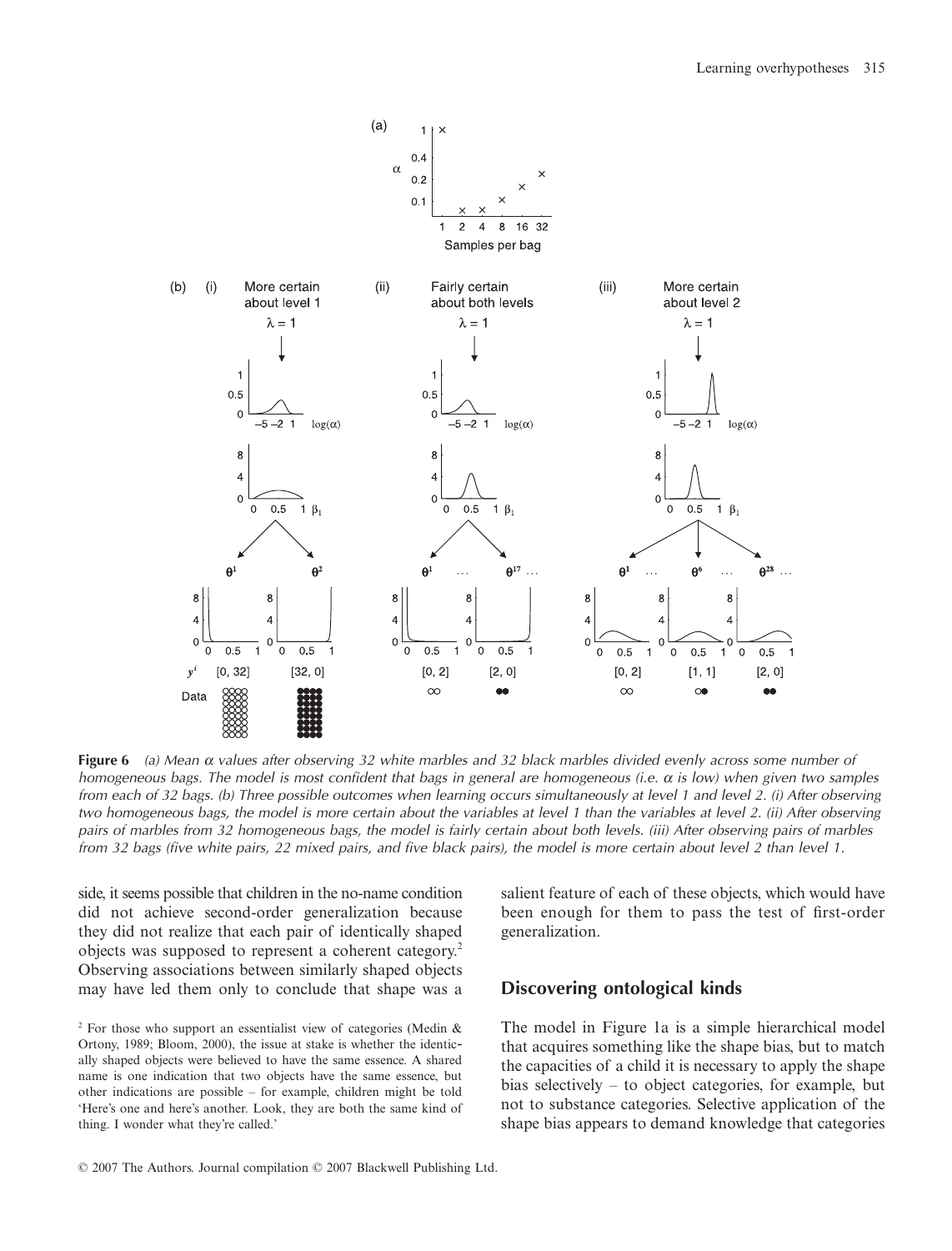

**Figure 6** *(a) Mean* <sup>α</sup> *values after observing 32 white marbles and 32 black marbles divided evenly across some number of homogeneous bags. The model is most confident that bags in general are homogeneous (i.e.* <sup>α</sup> *is low) when given two samples from each of 32 bags. (b) Three possible outcomes when learning occurs simultaneously at level 1 and level 2. (i) After observing two homogeneous bags, the model is more certain about the variables at level 1 than the variables at level 2. (ii) After observing pairs of marbles from 32 homogeneous bags, the model is fairly certain about both levels. (iii) After observing pairs of marbles from 32 bags (five white pairs, 22 mixed pairs, and five black pairs), the model is more certain about level 2 than level 1.*

side, it seems possible that children in the no-name condition did not achieve second-order generalization because they did not realize that each pair of identically shaped objects was supposed to represent a coherent category.2 Observing associations between similarly shaped objects may have led them only to conclude that shape was a

 $2$  For those who support an essentialist view of categories (Medin & Ortony, 1989; Bloom, 2000), the issue at stake is whether the identically shaped objects were believed to have the same essence. A shared name is one indication that two objects have the same essence, but other indications are possible – for example, children might be told 'Here's one and here's another. Look, they are both the same kind of thing. I wonder what they're called.'

salient feature of each of these objects, which would have been enough for them to pass the test of first-order generalization.

#### **Discovering ontological kinds**

The model in Figure 1a is a simple hierarchical model that acquires something like the shape bias, but to match the capacities of a child it is necessary to apply the shape bias selectively – to object categories, for example, but not to substance categories. Selective application of the shape bias appears to demand knowledge that categories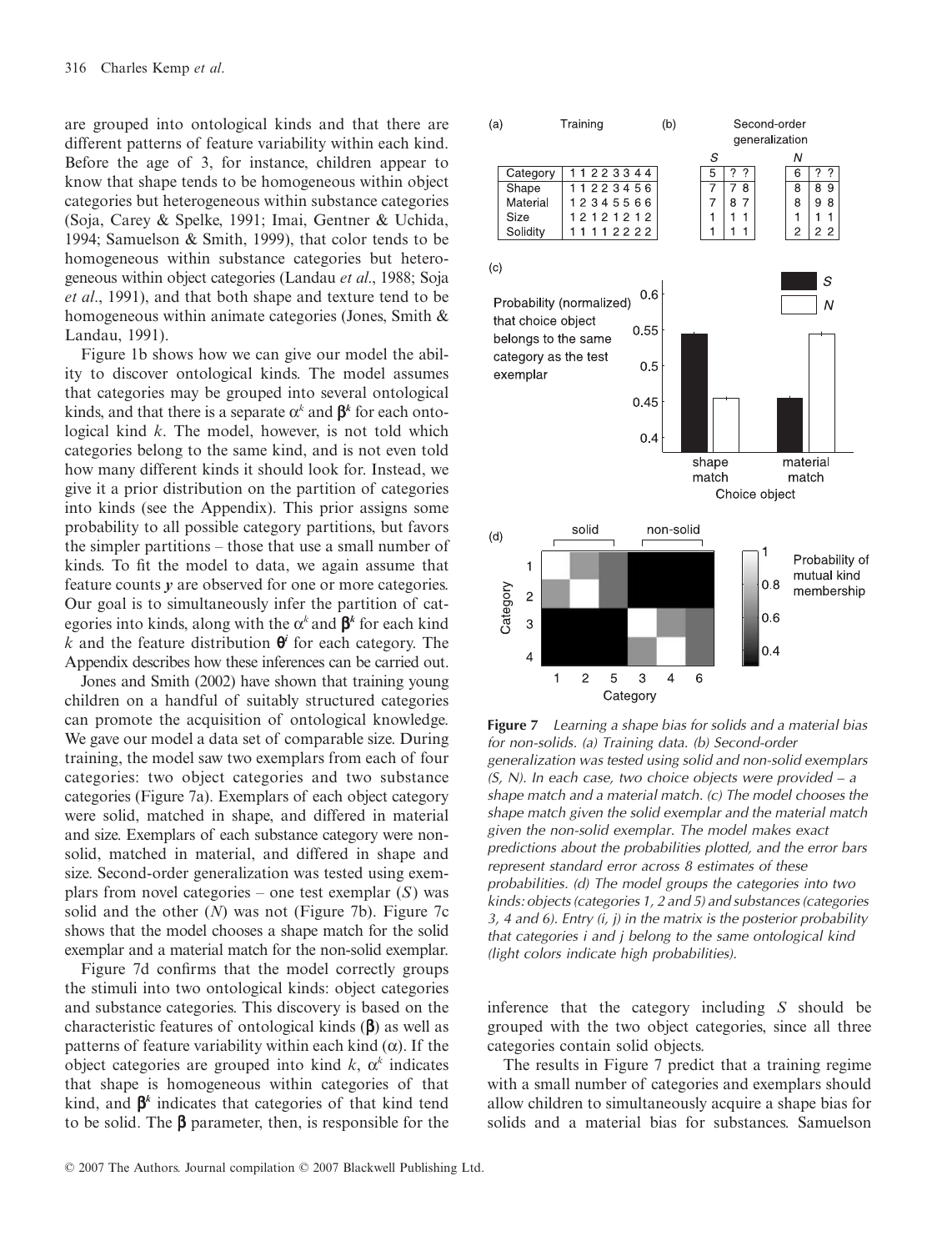are grouped into ontological kinds and that there are different patterns of feature variability within each kind. Before the age of 3, for instance, children appear to know that shape tends to be homogeneous within object categories but heterogeneous within substance categories (Soja, Carey & Spelke, 1991; Imai, Gentner & Uchida, 1994; Samuelson & Smith, 1999), that color tends to be homogeneous within substance categories but heterogeneous within object categories (Landau *et al*., 1988; Soja *et al*., 1991), and that both shape and texture tend to be homogeneous within animate categories (Jones, Smith & Landau, 1991).

Figure 1b shows how we can give our model the ability to discover ontological kinds. The model assumes that categories may be grouped into several ontological kinds, and that there is a separate  $\alpha^k$  and  $\beta^k$  for each ontological kind *k*. The model, however, is not told which categories belong to the same kind, and is not even told how many different kinds it should look for. Instead, we give it a prior distribution on the partition of categories into kinds (see the Appendix). This prior assigns some probability to all possible category partitions, but favors the simpler partitions – those that use a small number of kinds. To fit the model to data, we again assume that feature counts *y* are observed for one or more categories. Our goal is to simultaneously infer the partition of categories into kinds, along with the  $\alpha^k$  and  $\beta^k$  for each kind *k* and the feature distribution θ*<sup>i</sup>* for each category. The Appendix describes how these inferences can be carried out.

Jones and Smith (2002) have shown that training young children on a handful of suitably structured categories can promote the acquisition of ontological knowledge. We gave our model a data set of comparable size. During training, the model saw two exemplars from each of four categories: two object categories and two substance categories (Figure 7a). Exemplars of each object category were solid, matched in shape, and differed in material and size. Exemplars of each substance category were nonsolid, matched in material, and differed in shape and size. Second-order generalization was tested using exemplars from novel categories – one test exemplar (*S*) was solid and the other (*N*) was not (Figure 7b). Figure 7c shows that the model chooses a shape match for the solid exemplar and a material match for the non-solid exemplar.

Figure 7d confirms that the model correctly groups the stimuli into two ontological kinds: object categories and substance categories. This discovery is based on the characteristic features of ontological kinds (β) as well as patterns of feature variability within each kind (α). If the object categories are grouped into kind  $k$ ,  $\alpha^k$  indicates that shape is homogeneous within categories of that kind, and β*<sup>k</sup>* indicates that categories of that kind tend to be solid. The  $\beta$  parameter, then, is responsible for the



**Figure 7** *Learning a shape bias for solids and a material bias for non-solids. (a) Training data. (b) Second-order generalization was tested using solid and non-solid exemplars (S, N). In each case, two choice objects were provided – a shape match and a material match. (c) The model chooses the shape match given the solid exemplar and the material match given the non-solid exemplar. The model makes exact predictions about the probabilities plotted, and the error bars represent standard error across 8 estimates of these probabilities. (d) The model groups the categories into two kinds: objects (categories 1, 2 and 5) and substances (categories 3, 4 and 6). Entry (i, j) in the matrix is the posterior probability that categories i and j belong to the same ontological kind (light colors indicate high probabilities).*

inference that the category including *S* should be grouped with the two object categories, since all three categories contain solid objects.

The results in Figure 7 predict that a training regime with a small number of categories and exemplars should allow children to simultaneously acquire a shape bias for solids and a material bias for substances. Samuelson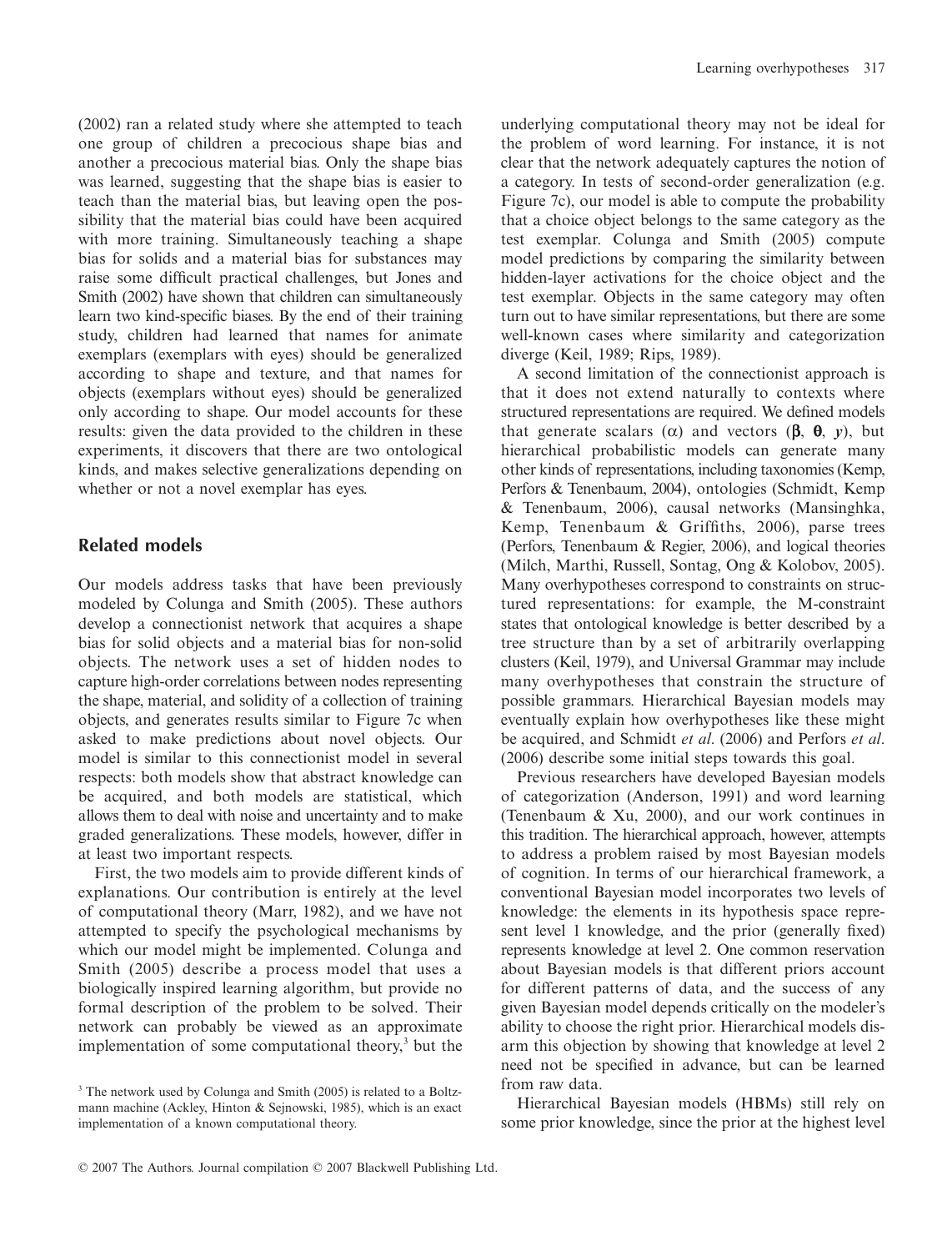(2002) ran a related study where she attempted to teach one group of children a precocious shape bias and another a precocious material bias. Only the shape bias was learned, suggesting that the shape bias is easier to teach than the material bias, but leaving open the possibility that the material bias could have been acquired with more training. Simultaneously teaching a shape bias for solids and a material bias for substances may raise some difficult practical challenges, but Jones and Smith (2002) have shown that children can simultaneously learn two kind-specific biases. By the end of their training study, children had learned that names for animate exemplars (exemplars with eyes) should be generalized according to shape and texture, and that names for objects (exemplars without eyes) should be generalized only according to shape. Our model accounts for these results: given the data provided to the children in these experiments, it discovers that there are two ontological kinds, and makes selective generalizations depending on whether or not a novel exemplar has eyes.

## **Related models**

Our models address tasks that have been previously modeled by Colunga and Smith (2005). These authors develop a connectionist network that acquires a shape bias for solid objects and a material bias for non-solid objects. The network uses a set of hidden nodes to capture high-order correlations between nodes representing the shape, material, and solidity of a collection of training objects, and generates results similar to Figure 7c when asked to make predictions about novel objects. Our model is similar to this connectionist model in several respects: both models show that abstract knowledge can be acquired, and both models are statistical, which allows them to deal with noise and uncertainty and to make graded generalizations. These models, however, differ in at least two important respects.

First, the two models aim to provide different kinds of explanations. Our contribution is entirely at the level of computational theory (Marr, 1982), and we have not attempted to specify the psychological mechanisms by which our model might be implemented. Colunga and Smith (2005) describe a process model that uses a biologically inspired learning algorithm, but provide no formal description of the problem to be solved. Their network can probably be viewed as an approximate implementation of some computational theory,<sup>3</sup> but the

underlying computational theory may not be ideal for the problem of word learning. For instance, it is not clear that the network adequately captures the notion of a category. In tests of second-order generalization (e.g. Figure 7c), our model is able to compute the probability that a choice object belongs to the same category as the test exemplar. Colunga and Smith (2005) compute model predictions by comparing the similarity between hidden-layer activations for the choice object and the test exemplar. Objects in the same category may often turn out to have similar representations, but there are some well-known cases where similarity and categorization diverge (Keil, 1989; Rips, 1989).

A second limitation of the connectionist approach is that it does not extend naturally to contexts where structured representations are required. We defined models that generate scalars (α) and vectors ( $\beta$ ,  $\theta$ ,  $\nu$ ), but hierarchical probabilistic models can generate many other kinds of representations, including taxonomies (Kemp, Perfors & Tenenbaum, 2004), ontologies (Schmidt, Kemp & Tenenbaum, 2006), causal networks (Mansinghka, Kemp, Tenenbaum & Griffiths, 2006), parse trees (Perfors, Tenenbaum & Regier, 2006), and logical theories (Milch, Marthi, Russell, Sontag, Ong & Kolobov, 2005). Many overhypotheses correspond to constraints on structured representations: for example, the M-constraint states that ontological knowledge is better described by a tree structure than by a set of arbitrarily overlapping clusters (Keil, 1979), and Universal Grammar may include many overhypotheses that constrain the structure of possible grammars. Hierarchical Bayesian models may eventually explain how overhypotheses like these might be acquired, and Schmidt *et al*. (2006) and Perfors *et al*. (2006) describe some initial steps towards this goal.

Previous researchers have developed Bayesian models of categorization (Anderson, 1991) and word learning (Tenenbaum & Xu, 2000), and our work continues in this tradition. The hierarchical approach, however, attempts to address a problem raised by most Bayesian models of cognition. In terms of our hierarchical framework, a conventional Bayesian model incorporates two levels of knowledge: the elements in its hypothesis space represent level 1 knowledge, and the prior (generally fixed) represents knowledge at level 2. One common reservation about Bayesian models is that different priors account for different patterns of data, and the success of any given Bayesian model depends critically on the modeler's ability to choose the right prior. Hierarchical models disarm this objection by showing that knowledge at level 2 need not be specified in advance, but can be learned from raw data.

Hierarchical Bayesian models (HBMs) still rely on some prior knowledge, since the prior at the highest level

<sup>&</sup>lt;sup>3</sup> The network used by Colunga and Smith (2005) is related to a Boltzmann machine (Ackley, Hinton & Sejnowski, 1985), which is an exact implementation of a known computational theory.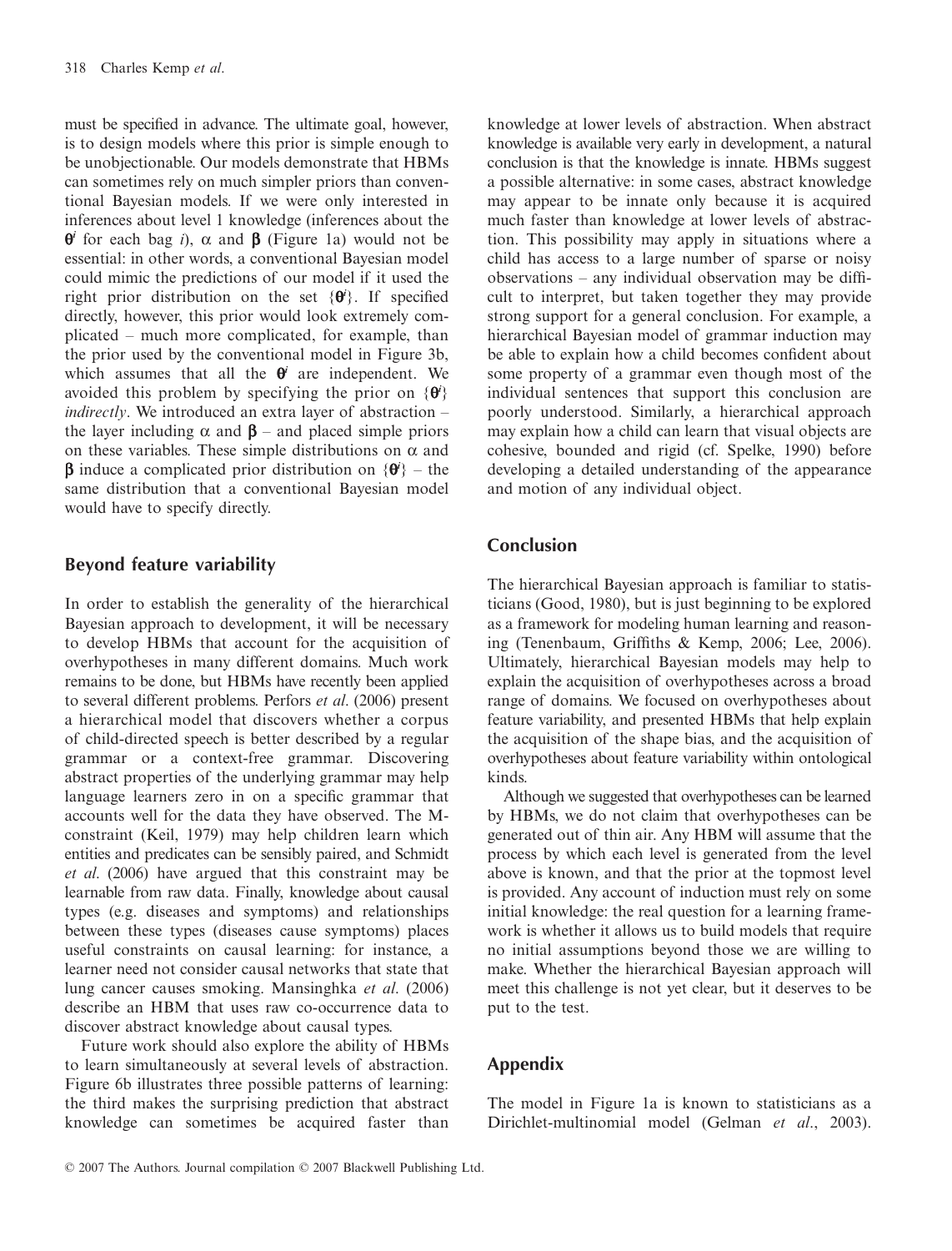must be specified in advance. The ultimate goal, however, is to design models where this prior is simple enough to be unobjectionable. Our models demonstrate that HBMs can sometimes rely on much simpler priors than conventional Bayesian models. If we were only interested in inferences about level 1 knowledge (inferences about the θ*<sup>i</sup>* for each bag *i*), α and β (Figure 1a) would not be essential: in other words, a conventional Bayesian model could mimic the predictions of our model if it used the right prior distribution on the set {θ*<sup>i</sup>* }. If specified directly, however, this prior would look extremely complicated – much more complicated, for example, than the prior used by the conventional model in Figure 3b, which assumes that all the θ*<sup>i</sup>* are independent. We avoided this problem by specifying the prior on {θ*<sup>i</sup>* } *indirectly*. We introduced an extra layer of abstraction – the layer including  $\alpha$  and  $\beta$  – and placed simple priors on these variables. These simple distributions on  $\alpha$  and β induce a complicated prior distribution on {θ*<sup>i</sup>* } – the same distribution that a conventional Bayesian model would have to specify directly.

# **Beyond feature variability**

In order to establish the generality of the hierarchical Bayesian approach to development, it will be necessary to develop HBMs that account for the acquisition of overhypotheses in many different domains. Much work remains to be done, but HBMs have recently been applied to several different problems. Perfors *et al*. (2006) present a hierarchical model that discovers whether a corpus of child-directed speech is better described by a regular grammar or a context-free grammar. Discovering abstract properties of the underlying grammar may help language learners zero in on a specific grammar that accounts well for the data they have observed. The Mconstraint (Keil, 1979) may help children learn which entities and predicates can be sensibly paired, and Schmidt *et al*. (2006) have argued that this constraint may be learnable from raw data. Finally, knowledge about causal types (e.g. diseases and symptoms) and relationships between these types (diseases cause symptoms) places useful constraints on causal learning: for instance, a learner need not consider causal networks that state that lung cancer causes smoking. Mansinghka *et al*. (2006) describe an HBM that uses raw co-occurrence data to discover abstract knowledge about causal types.

Future work should also explore the ability of HBMs to learn simultaneously at several levels of abstraction. Figure 6b illustrates three possible patterns of learning: the third makes the surprising prediction that abstract knowledge can sometimes be acquired faster than

knowledge at lower levels of abstraction. When abstract knowledge is available very early in development, a natural conclusion is that the knowledge is innate. HBMs suggest a possible alternative: in some cases, abstract knowledge may appear to be innate only because it is acquired much faster than knowledge at lower levels of abstraction. This possibility may apply in situations where a child has access to a large number of sparse or noisy observations – any individual observation may be difficult to interpret, but taken together they may provide strong support for a general conclusion. For example, a hierarchical Bayesian model of grammar induction may be able to explain how a child becomes confident about some property of a grammar even though most of the individual sentences that support this conclusion are poorly understood. Similarly, a hierarchical approach may explain how a child can learn that visual objects are cohesive, bounded and rigid (cf. Spelke, 1990) before developing a detailed understanding of the appearance and motion of any individual object.

## **Conclusion**

The hierarchical Bayesian approach is familiar to statisticians (Good, 1980), but is just beginning to be explored as a framework for modeling human learning and reasoning (Tenenbaum, Griffiths & Kemp, 2006; Lee, 2006). Ultimately, hierarchical Bayesian models may help to explain the acquisition of overhypotheses across a broad range of domains. We focused on overhypotheses about feature variability, and presented HBMs that help explain the acquisition of the shape bias, and the acquisition of overhypotheses about feature variability within ontological kinds.

Although we suggested that overhypotheses can be learned by HBMs, we do not claim that overhypotheses can be generated out of thin air. Any HBM will assume that the process by which each level is generated from the level above is known, and that the prior at the topmost level is provided. Any account of induction must rely on some initial knowledge: the real question for a learning framework is whether it allows us to build models that require no initial assumptions beyond those we are willing to make. Whether the hierarchical Bayesian approach will meet this challenge is not yet clear, but it deserves to be put to the test.

#### **Appendix**

The model in Figure 1a is known to statisticians as a Dirichlet-multinomial model (Gelman *et al*., 2003).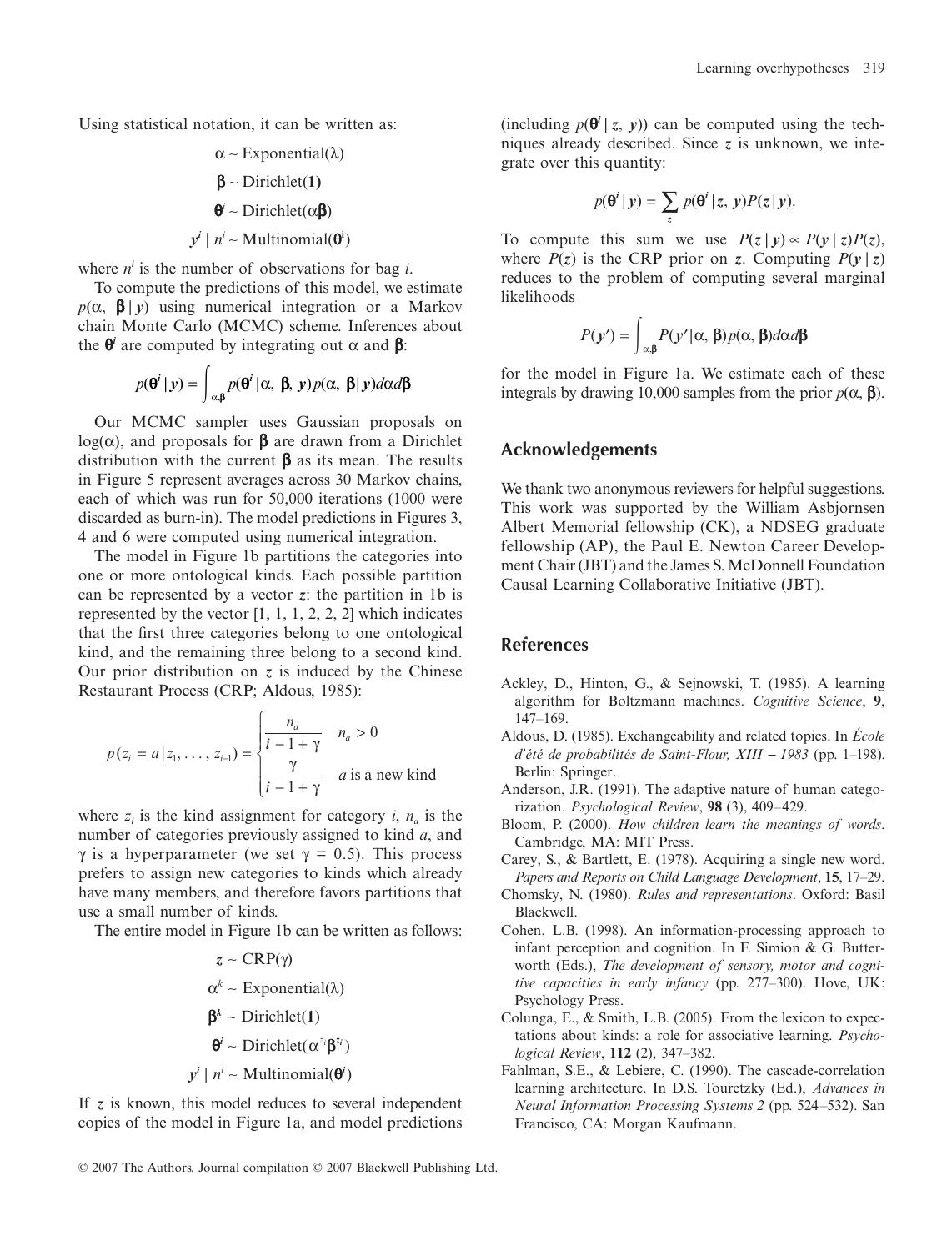Using statistical notation, it can be written as:

$$
\alpha \sim \text{Exponential}(\lambda)
$$

$$
\beta \sim \text{Dirichlet}(1)
$$

$$
\theta' \sim \text{Dirichlet}(\alpha \beta)
$$

$$
y^i | n^i \sim \text{Multinomial}(\theta^i)
$$

where  $n^i$  is the number of observations for bag *i*.

To compute the predictions of this model, we estimate  $p(\alpha, \beta | y)$  using numerical integration or a Markov chain Monte Carlo (MCMC) scheme. Inferences about the  $θ$ <sup>*i*</sup> are computed by integrating out α and **β**:

$$
p(\boldsymbol{\theta}^i | \mathbf{y}) = \int_{\alpha, \boldsymbol{\beta}} p(\boldsymbol{\theta}^i | \alpha, \boldsymbol{\beta}, \mathbf{y}) p(\alpha, \boldsymbol{\beta} | \mathbf{y}) d\alpha d\boldsymbol{\beta}
$$

Our MCMC sampler uses Gaussian proposals on log(α), and proposals for **β** are drawn from a Dirichlet distribution with the current  $\beta$  as its mean. The results in Figure 5 represent averages across 30 Markov chains, each of which was run for 50,000 iterations (1000 were discarded as burn-in). The model predictions in Figures 3, 4 and 6 were computed using numerical integration.

The model in Figure 1b partitions the categories into one or more ontological kinds. Each possible partition can be represented by a vector *z*: the partition in 1b is represented by the vector  $[1, 1, 1, 2, 2, 2]$  which indicates that the first three categories belong to one ontological kind, and the remaining three belong to a second kind. Our prior distribution on *z* is induced by the Chinese Restaurant Process (CRP; Aldous, 1985):

$$
p(z_i = a | z_1, \dots, z_{i-1}) = \begin{cases} \frac{n_a}{i - 1 + \gamma} & n_a > 0\\ \frac{\gamma}{i - 1 + \gamma} & a \text{ is a new kind} \end{cases}
$$

where  $z_i$  is the kind assignment for category *i*,  $n_a$  is the number of categories previously assigned to kind *a*, and  $γ$  is a hyperparameter (we set  $γ = 0.5$ ). This process prefers to assign new categories to kinds which already have many members, and therefore favors partitions that use a small number of kinds.

The entire model in Figure 1b can be written as follows:

$$
z \sim \text{CRP}(\gamma)
$$

$$
\alpha^k \sim \text{Exponential}(\lambda)
$$

$$
\beta^k \sim \text{Dirichlet}(1)
$$

$$
\theta^i \sim \text{Dirichlet}(\alpha^{z_i} \beta^{z_i})
$$

$$
y^i \mid n^i \sim \text{Multinomial}(\theta^i)
$$

If *z* is known, this model reduces to several independent copies of the model in Figure 1a, and model predictions

(including  $p(\mathbf{\Theta}^i | z, y)$ ) can be computed using the techniques already described. Since *z* is unknown, we integrate over this quantity:

$$
p(\mathbf{\Theta}^i \,|\, \mathbf{y}) = \sum_z p(\mathbf{\Theta}^i \,|\, z, \, \mathbf{y}) P(z \,|\, \mathbf{y}).
$$

To compute this sum we use  $P(z | y) \propto P(y | z)P(z)$ , where  $P(z)$  is the CRP prior on *z*. Computing  $P(y | z)$ reduces to the problem of computing several marginal likelihoods

$$
P(\mathbf{y}') = \int_{\alpha,\beta} P(\mathbf{y}' | \alpha, \beta) p(\alpha, \beta) d\alpha d\beta
$$

for the model in Figure 1a. We estimate each of these integrals by drawing 10,000 samples from the prior  $p$ (α, **β**).

#### **Acknowledgements**

We thank two anonymous reviewers for helpful suggestions. This work was supported by the William Asbjornsen Albert Memorial fellowship (CK), a NDSEG graduate fellowship (AP), the Paul E. Newton Career Development Chair (JBT) and the James S. McDonnell Foundation Causal Learning Collaborative Initiative (JBT).

#### **References**

- Ackley, D., Hinton, G., & Sejnowski, T. (1985). A learning algorithm for Boltzmann machines. *Cognitive Science*, **9**, 147–169.
- Aldous, D. (1985). Exchangeability and related topics. In *École d'été de probabilités de Saint-Flour, XIII* − *1983* (pp. 1–198). Berlin: Springer.
- Anderson, J.R. (1991). The adaptive nature of human categorization. *Psychological Review*, **98** (3), 409–429.
- Bloom, P. (2000). *How children learn the meanings of words*. Cambridge, MA: MIT Press.
- Carey, S., & Bartlett, E. (1978). Acquiring a single new word. *Papers and Reports on Child Language Development*, **15**, 17–29.
- Chomsky, N. (1980). *Rules and representations*. Oxford: Basil Blackwell.
- Cohen, L.B. (1998). An information-processing approach to infant perception and cognition. In F. Simion & G. Butterworth (Eds.), *The development of sensory, motor and cognitive capacities in early infancy* (pp. 277–300). Hove, UK: Psychology Press.
- Colunga, E., & Smith, L.B. (2005). From the lexicon to expectations about kinds: a role for associative learning. *Psychological Review*, **112** (2), 347–382.
- Fahlman, S.E., & Lebiere, C. (1990). The cascade-correlation learning architecture. In D.S. Touretzky (Ed.), *Advances in Neural Information Processing Systems 2* (pp. 524–532). San Francisco, CA: Morgan Kaufmann.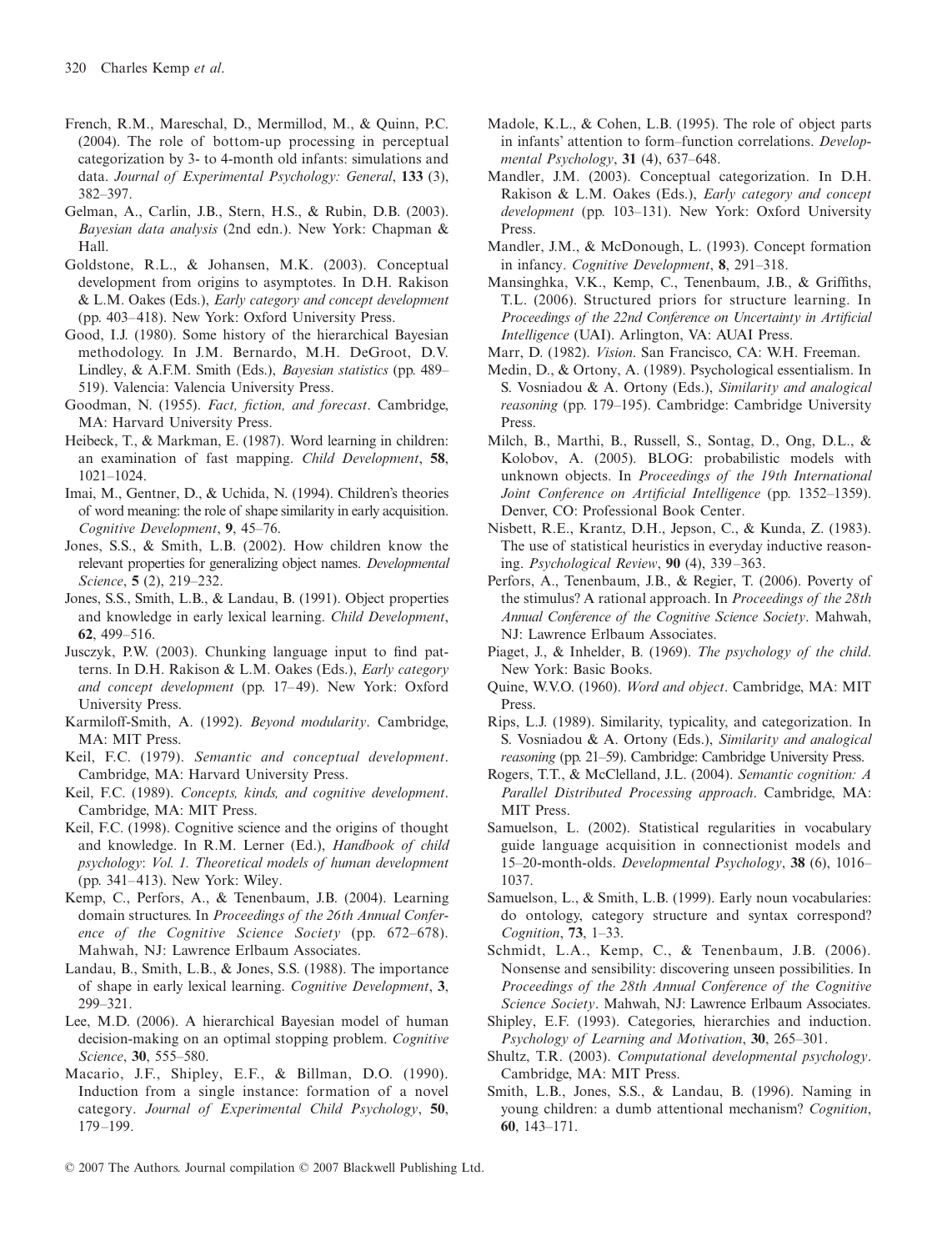- French, R.M., Mareschal, D., Mermillod, M., & Quinn, P.C. (2004). The role of bottom-up processing in perceptual categorization by 3- to 4-month old infants: simulations and data. *Journal of Experimental Psychology: General*, **133** (3), 382–397.
- Gelman, A., Carlin, J.B., Stern, H.S., & Rubin, D.B. (2003). *Bayesian data analysis* (2nd edn.). New York: Chapman & Hall.
- Goldstone, R.L., & Johansen, M.K. (2003). Conceptual development from origins to asymptotes. In D.H. Rakison & L.M. Oakes (Eds.), *Early category and concept development* (pp. 403–418). New York: Oxford University Press.
- Good, I.J. (1980). Some history of the hierarchical Bayesian methodology. In J.M. Bernardo, M.H. DeGroot, D.V. Lindley, & A.F.M. Smith (Eds.), *Bayesian statistics* (pp. 489– 519). Valencia: Valencia University Press.
- Goodman, N. (1955). *Fact, fiction, and forecast*. Cambridge, MA: Harvard University Press.
- Heibeck, T., & Markman, E. (1987). Word learning in children: an examination of fast mapping. *Child Development*, **58**, 1021–1024.
- Imai, M., Gentner, D., & Uchida, N. (1994). Children's theories of word meaning: the role of shape similarity in early acquisition. *Cognitive Development*, **9**, 45–76.
- Jones, S.S., & Smith, L.B. (2002). How children know the relevant properties for generalizing object names. *Developmental Science*, **5** (2), 219–232.
- Jones, S.S., Smith, L.B., & Landau, B. (1991). Object properties and knowledge in early lexical learning. *Child Development*, **62**, 499–516.
- Jusczyk, P.W. (2003). Chunking language input to find patterns. In D.H. Rakison & L.M. Oakes (Eds.), *Early category and concept development* (pp. 17–49). New York: Oxford University Press.
- Karmiloff-Smith, A. (1992). *Beyond modularity*. Cambridge, MA: MIT Press.
- Keil, F.C. (1979). *Semantic and conceptual development*. Cambridge, MA: Harvard University Press.
- Keil, F.C. (1989). *Concepts, kinds, and cognitive development*. Cambridge, MA: MIT Press.
- Keil, F.C. (1998). Cognitive science and the origins of thought and knowledge. In R.M. Lerner (Ed.), *Handbook of child psychology*: *Vol. 1. Theoretical models of human development* (pp. 341–413). New York: Wiley.
- Kemp, C., Perfors, A., & Tenenbaum, J.B. (2004). Learning domain structures. In *Proceedings of the 26th Annual Conference of the Cognitive Science Society* (pp. 672–678). Mahwah, NJ: Lawrence Erlbaum Associates.
- Landau, B., Smith, L.B., & Jones, S.S. (1988). The importance of shape in early lexical learning. *Cognitive Development*, **3**, 299–321.
- Lee, M.D. (2006). A hierarchical Bayesian model of human decision-making on an optimal stopping problem. *Cognitive Science*, **30**, 555–580.
- Macario, J.F., Shipley, E.F., & Billman, D.O. (1990). Induction from a single instance: formation of a novel category. *Journal of Experimental Child Psychology*, **50**, 179–199.
- Madole, K.L., & Cohen, L.B. (1995). The role of object parts in infants' attention to form–function correlations. *Developmental Psychology*, **31** (4), 637–648.
- Mandler, J.M. (2003). Conceptual categorization. In D.H. Rakison & L.M. Oakes (Eds.), *Early category and concept development* (pp. 103–131). New York: Oxford University Press.
- Mandler, J.M., & McDonough, L. (1993). Concept formation in infancy. *Cognitive Development*, **8**, 291–318.
- Mansinghka, V.K., Kemp, C., Tenenbaum, J.B., & Griffiths, T.L. (2006). Structured priors for structure learning. In *Proceedings of the 22nd Conference on Uncertainty in Artificial Intelligence* (UAI). Arlington, VA: AUAI Press.
- Marr, D. (1982). *Vision*. San Francisco, CA: W.H. Freeman.
- Medin, D., & Ortony, A. (1989). Psychological essentialism. In S. Vosniadou & A. Ortony (Eds.), *Similarity and analogical reasoning* (pp. 179–195). Cambridge: Cambridge University Press.
- Milch, B., Marthi, B., Russell, S., Sontag, D., Ong, D.L., & Kolobov, A. (2005). BLOG: probabilistic models with unknown objects. In *Proceedings of the 19th International Joint Conference on Artificial Intelligence* (pp. 1352–1359). Denver, CO: Professional Book Center.
- Nisbett, R.E., Krantz, D.H., Jepson, C., & Kunda, Z. (1983). The use of statistical heuristics in everyday inductive reasoning. *Psychological Review*, **90** (4), 339–363.
- Perfors, A., Tenenbaum, J.B., & Regier, T. (2006). Poverty of the stimulus? A rational approach. In *Proceedings of the 28th Annual Conference of the Cognitive Science Society*. Mahwah, NJ: Lawrence Erlbaum Associates.
- Piaget, J., & Inhelder, B. (1969). *The psychology of the child*. New York: Basic Books.
- Quine, W.V.O. (1960). *Word and object*. Cambridge, MA: MIT Press.
- Rips, L.J. (1989). Similarity, typicality, and categorization. In S. Vosniadou & A. Ortony (Eds.), *Similarity and analogical reasoning* (pp. 21–59). Cambridge: Cambridge University Press.
- Rogers, T.T., & McClelland, J.L. (2004). *Semantic cognition: A Parallel Distributed Processing approach*. Cambridge, MA: MIT Press.
- Samuelson, L. (2002). Statistical regularities in vocabulary guide language acquisition in connectionist models and 15–20-month-olds. *Developmental Psychology*, **38** (6), 1016– 1037.
- Samuelson, L., & Smith, L.B. (1999). Early noun vocabularies: do ontology, category structure and syntax correspond? *Cognition*, **73**, 1–33.
- Schmidt, L.A., Kemp, C., & Tenenbaum, J.B. (2006). Nonsense and sensibility: discovering unseen possibilities. In *Proceedings of the 28th Annual Conference of the Cognitive Science Society*. Mahwah, NJ: Lawrence Erlbaum Associates.
- Shipley, E.F. (1993). Categories, hierarchies and induction. *Psychology of Learning and Motivation*, **30**, 265–301.
- Shultz, T.R. (2003). *Computational developmental psychology*. Cambridge, MA: MIT Press.
- Smith, L.B., Jones, S.S., & Landau, B. (1996). Naming in young children: a dumb attentional mechanism? *Cognition*, **60**, 143–171.

<sup>© 2007</sup> The Authors. Journal compilation © 2007 Blackwell Publishing Ltd.